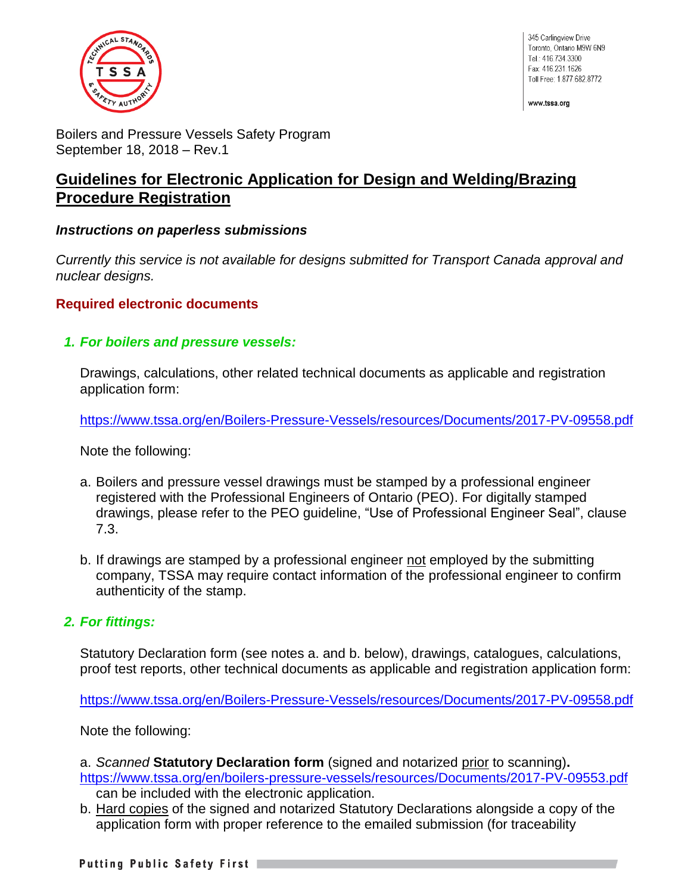

345 Carlingview Drive Toronto, Ontario M9W 6N9 Tel.: 416.734.3300 Fax: 416.231.1626 Toll Free: 1.877.682.8772

www.tssa.org

Boilers and Pressure Vessels Safety Program September 18, 2018 – Rev.1

# **Guidelines for Electronic Application for Design and Welding/Brazing Procedure Registration**

#### *Instructions on paperless submissions*

*Currently this service is not available for designs submitted for Transport Canada approval and nuclear designs.*

## **Required electronic documents**

*1. For boilers and pressure vessels:*

Drawings, calculations, other related technical documents as applicable and registration application form:

<https://www.tssa.org/en/Boilers-Pressure-Vessels/resources/Documents/2017-PV-09558.pdf>

Note the following:

- a. Boilers and pressure vessel drawings must be stamped by a professional engineer registered with the Professional Engineers of Ontario (PEO). For digitally stamped drawings, please refer to the PEO guideline, "Use of Professional Engineer Seal", clause 7.3.
- b. If drawings are stamped by a professional engineer not employed by the submitting company, TSSA may require contact information of the professional engineer to confirm authenticity of the stamp.

## *2. For fittings:*

Statutory Declaration form (see notes a. and b. below), drawings, catalogues, calculations, proof test reports, other technical documents as applicable and registration application form:

<https://www.tssa.org/en/Boilers-Pressure-Vessels/resources/Documents/2017-PV-09558.pdf>

Note the following:

a. *Scanned* **Statutory Declaration form** (signed and notarized prior to scanning)**.** <https://www.tssa.org/en/boilers-pressure-vessels/resources/Documents/2017-PV-09553.pdf>

- can be included with the electronic application.
- b. Hard copies of the signed and notarized Statutory Declarations alongside a copy of the application form with proper reference to the emailed submission (for traceability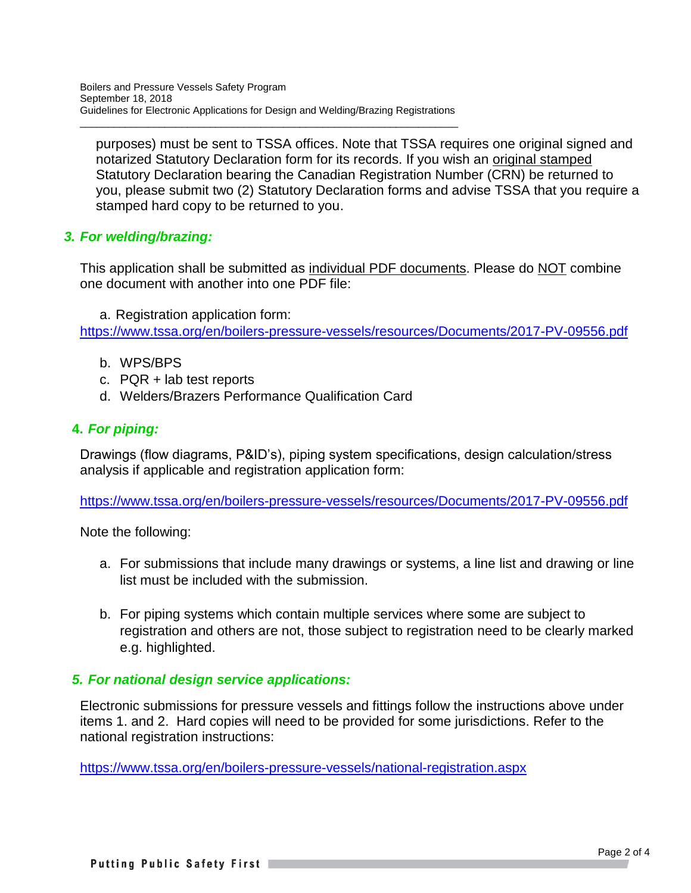$\overline{\phantom{a}}$  , and the contribution of the contribution of the contribution of the contribution of the contribution of the contribution of the contribution of the contribution of the contribution of the contribution of the

purposes) must be sent to TSSA offices. Note that TSSA requires one original signed and notarized Statutory Declaration form for its records. If you wish an original stamped Statutory Declaration bearing the Canadian Registration Number (CRN) be returned to you, please submit two (2) Statutory Declaration forms and advise TSSA that you require a stamped hard copy to be returned to you.

# *3. For welding/brazing:*

This application shall be submitted as individual PDF documents. Please do NOT combine one document with another into one PDF file:

a. Registration application form:

<https://www.tssa.org/en/boilers-pressure-vessels/resources/Documents/2017-PV-09556.pdf>

- b. WPS/BPS
- c. PQR + lab test reports
- d. Welders/Brazers Performance Qualification Card

## **4.** *For piping:*

Drawings (flow diagrams, P&ID's), piping system specifications, design calculation/stress analysis if applicable and registration application form:

<https://www.tssa.org/en/boilers-pressure-vessels/resources/Documents/2017-PV-09556.pdf>

Note the following:

- a. For submissions that include many drawings or systems, a line list and drawing or line list must be included with the submission.
- b. For piping systems which contain multiple services where some are subject to registration and others are not, those subject to registration need to be clearly marked e.g. highlighted.

## *5. For national design service applications:*

Electronic submissions for pressure vessels and fittings follow the instructions above under items 1. and 2. Hard copies will need to be provided for some jurisdictions. Refer to the national registration instructions:

<https://www.tssa.org/en/boilers-pressure-vessels/national-registration.aspx>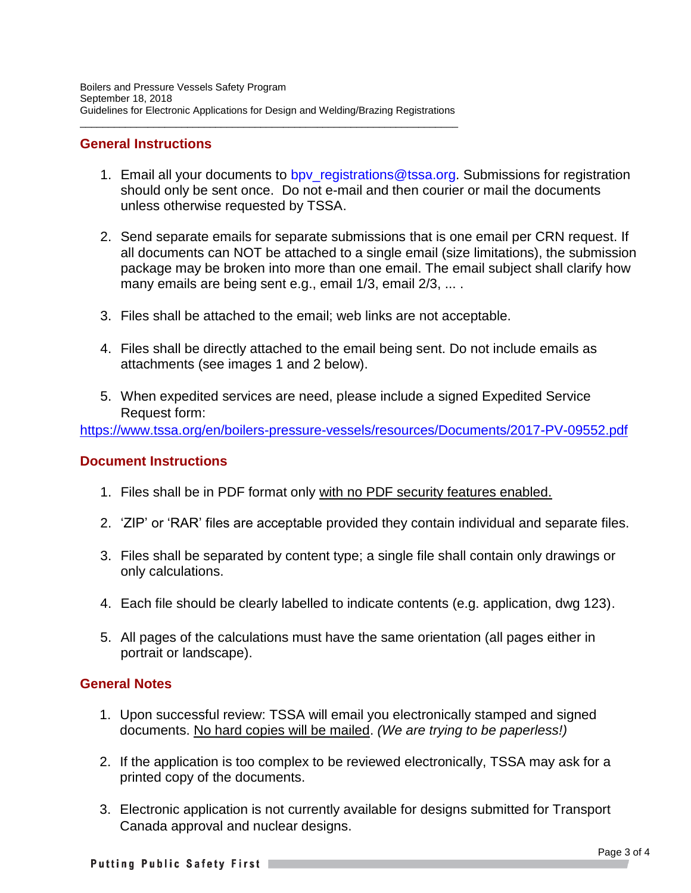$\overline{\phantom{a}}$  , and the contribution of the contribution of the contribution of the contribution of the contribution of the contribution of the contribution of the contribution of the contribution of the contribution of the

#### **General Instructions**

- 1. Email all your documents to bpy registrations@tssa.org. Submissions for registration should only be sent once. Do not e-mail and then courier or mail the documents unless otherwise requested by TSSA.
- 2. Send separate emails for separate submissions that is one email per CRN request. If all documents can NOT be attached to a single email (size limitations), the submission package may be broken into more than one email. The email subject shall clarify how many emails are being sent e.g., email 1/3, email 2/3, ... .
- 3. Files shall be attached to the email; web links are not acceptable.
- 4. Files shall be directly attached to the email being sent. Do not include emails as attachments (see images 1 and 2 below).
- 5. When expedited services are need, please include a signed Expedited Service Request form:

<https://www.tssa.org/en/boilers-pressure-vessels/resources/Documents/2017-PV-09552.pdf>

#### **Document Instructions**

- 1. Files shall be in PDF format only with no PDF security features enabled.
- 2. 'ZIP' or 'RAR' files are acceptable provided they contain individual and separate files.
- 3. Files shall be separated by content type; a single file shall contain only drawings or only calculations.
- 4. Each file should be clearly labelled to indicate contents (e.g. application, dwg 123).
- 5. All pages of the calculations must have the same orientation (all pages either in portrait or landscape).

#### **General Notes**

- 1. Upon successful review: TSSA will email you electronically stamped and signed documents. No hard copies will be mailed. *(We are trying to be paperless!)*
- 2. If the application is too complex to be reviewed electronically, TSSA may ask for a printed copy of the documents.
- 3. Electronic application is not currently available for designs submitted for Transport Canada approval and nuclear designs.